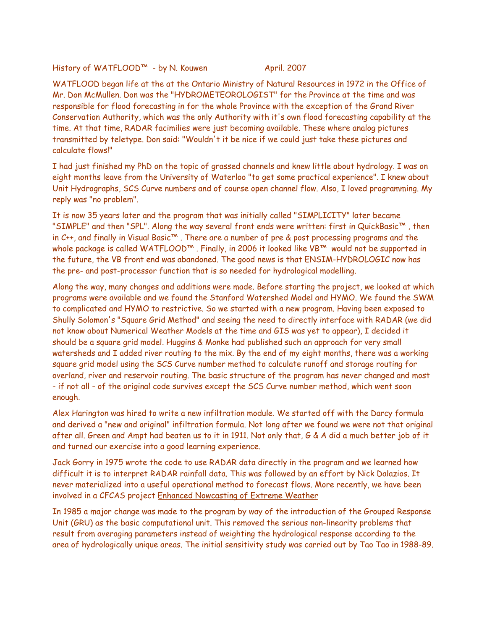History of WATFLOOD™ - by N. Kouwen April. 2007

WATFLOOD began life at the at the Ontario Ministry of Natural Resources in 1972 in the Office of Mr. Don McMullen. Don was the "HYDROMETEOROLOGIST" for the Province at the time and was responsible for flood forecasting in for the whole Province with the exception of the Grand River Conservation Authority, which was the only Authority with it's own flood forecasting capability at the time. At that time, RADAR facimilies were just becoming available. These where analog pictures transmitted by teletype. Don said: "Wouldn't it be nice if we could just take these pictures and calculate flows!"

I had just finished my PhD on the topic of grassed channels and knew little about hydrology. I was on eight months leave from the University of Waterloo "to get some practical experience". I knew about Unit Hydrographs, SCS Curve numbers and of course open channel flow. Also, I loved programming. My reply was "no problem".

It is now 35 years later and the program that was initially called "SIMPLICITY" later became "SIMPLE" and then "SPL". Along the way several front ends were written: first in QuickBasic™ , then in C++, and finally in Visual Basic™ . There are a number of pre & post processing programs and the whole package is called WATFLOOD™. Finally, in 2006 it looked like VB™ would not be supported in the future, the VB front end was abandoned. The good news is that ENSIM-HYDROLOGIC now has the pre- and post-processor function that is so needed for hydrological modelling.

Along the way, many changes and additions were made. Before starting the project, we looked at which programs were available and we found the Stanford Watershed Model and HYMO. We found the SWM to complicated and HYMO to restrictive. So we started with a new program. Having been exposed to Shully Solomon's "Square Grid Method" and seeing the need to directly interface with RADAR (we did not know about Numerical Weather Models at the time and GIS was yet to appear), I decided it should be a square grid model. Huggins & Monke had published such an approach for very small watersheds and I added river routing to the mix. By the end of my eight months, there was a working square grid model using the SCS Curve number method to calculate runoff and storage routing for overland, river and reservoir routing. The basic structure of the program has never changed and most - if not all - of the original code survives except the SCS Curve number method, which went soon enough.

Alex Harington was hired to write a new infiltration module. We started off with the Darcy formula and derived a "new and original" infiltration formula. Not long after we found we were not that original after all. Green and Ampt had beaten us to it in 1911. Not only that, G & A did a much better job of it and turned our exercise into a good learning experience.

Jack Gorry in 1975 wrote the code to use RADAR data directly in the program and we learned how difficult it is to interpret RADAR rainfall data. This was followed by an effort by Nick Dalazios. It never materialized into a useful operational method to forecast flows. More recently, we have been involved in a CFCAS project Enhanced Nowcasting of Extreme Weather

In 1985 a major change was made to the program by way of the introduction of the Grouped Response Unit (GRU) as the basic computational unit. This removed the serious non-linearity problems that result from averaging parameters instead of weighting the hydrological response according to the area of hydrologically unique areas. The initial sensitivity study was carried out by Tao Tao in 1988-89.